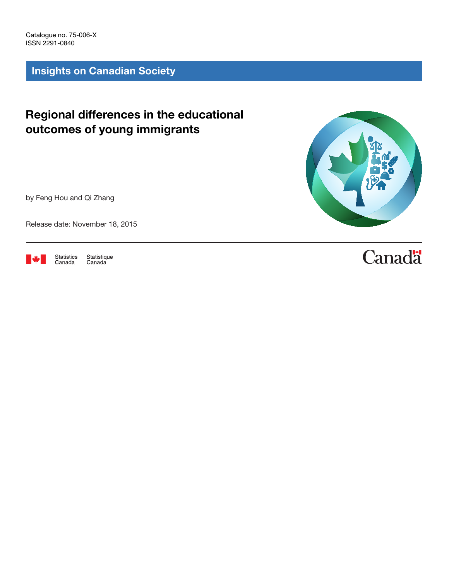Catalogue no. 75-006-X ISSN 2291-0840

Insights on Canadian Society

## Regional differences in the educational outcomes of young immigrants

by Feng Hou and Qi Zhang

Release date: November 18, 2015



Statistics<br>Canada Statistique<br>Canada



# **Canadä**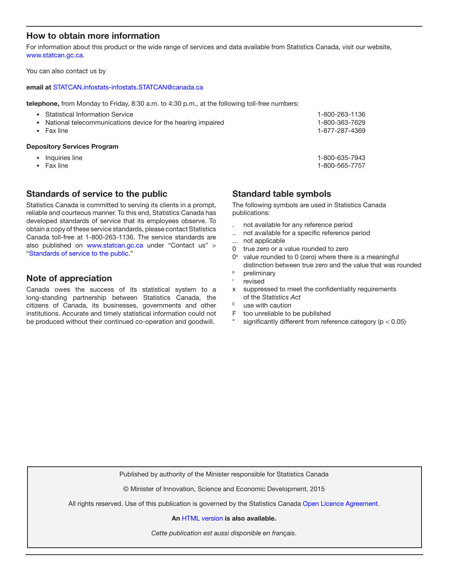## How to obtain more information

For information about this product or the wide range of services and data available from Statistics Canada, visit our website, [www.statcan.gc.ca.](http://www.statcan.gc.ca)

You can also contact us by

#### email at [STATCAN.infostats-infostats.STATCAN@canada.ca](mailto:STATCAN.infostats-infostats.STATCAN@canada.ca)

telephone, from Monday to Friday, 8:30 a.m. to 4:30 p.m., at the following toll-free numbers:

| Fax line                                                    | 1-877-287-4369 |
|-------------------------------------------------------------|----------------|
|                                                             |                |
| National telecommunications device for the hearing impaired | 1-800-363-7629 |
| • Statistical Information Service                           | 1-800-263-1136 |

- Inquiries line 1-800-635-7943
- Fax line 1-800-565-7757

## Standards of service to the public

Statistics Canada is committed to serving its clients in a prompt, reliable and courteous manner. To this end, Statistics Canada has developed standards of service that its employees observe. To obtain a copy of these service standards, please contact Statistics Canada toll-free at 1-800-263-1136. The service standards are also published on www.statcan.gc.ca under "Contact us" > "[Standards of service to the public](http://www.statcan.gc.ca/eng/about/service/standards)."

## Note of appreciation

Canada owes the success of its statistical system to a long-standing partnership between Statistics Canada, the citizens of Canada, its businesses, governments and other institutions. Accurate and timely statistical information could not be produced without their continued co-operation and goodwill.

## Standard table symbols

The following symbols are used in Statistics Canada publications:

- . not available for any reference period
- .. not available for a specific reference period
- ... not applicable
- 0 true zero or a value rounded to zero
- $0<sup>s</sup>$  value rounded to 0 (zero) where there is a meaningful distinction between true zero and the value that was rounded
- <sup>p</sup> preliminary
- revised
- x suppressed to meet the confidentiality requirements of the *Statistics Act*
- $E$  use with caution
- F too unreliable to be published
- significantly different from reference category ( $p < 0.05$ )

Published by authority of the Minister responsible for Statistics Canada

© Minister of Innovation, Science and Economic Development, 2015

All rights reserved. Use of this publication is governed by the Statistics Canada [Open Licence Agreement](http://www.statcan.gc.ca/eng/reference/licence-eng.htm).

An [HTML version](http://www.statcan.gc.ca/pub/75-006-x/2015001/article/14247-eng.htm) is also available.

*Cette publication est aussi disponible en français*.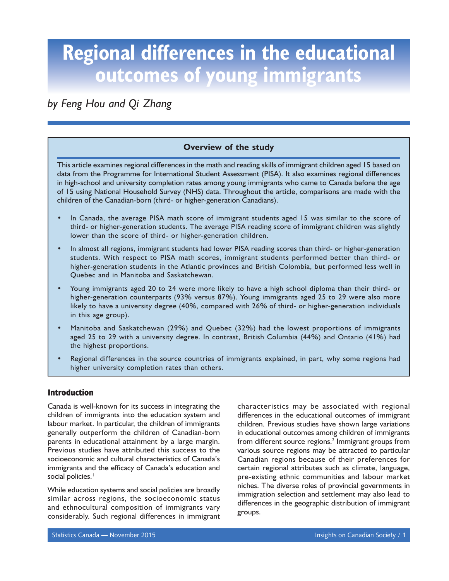# **Regional differences in the educational outcomes of young immigrants**

## *by Feng Hou and Qi Zhang*

## **Overview of the study**

This article examines regional differences in the math and reading skills of immigrant children aged 15 based on data from the Programme for International Student Assessment (PISA). It also examines regional differences in high-school and university completion rates among young immigrants who came to Canada before the age of 15 using National Household Survey (NHS) data. Throughout the article, comparisons are made with the children of the Canadian-born (third- or higher-generation Canadians).

- In Canada, the average PISA math score of immigrant students aged 15 was similar to the score of third- or higher-generation students. The average PISA reading score of immigrant children was slightly lower than the score of third- or higher-generation children.
- In almost all regions, immigrant students had lower PISA reading scores than third- or higher-generation students. With respect to PISA math scores, immigrant students performed better than third- or higher-generation students in the Atlantic provinces and British Colombia, but performed less well in Quebec and in Manitoba and Saskatchewan.
- Young immigrants aged 20 to 24 were more likely to have a high school diploma than their third- or higher-generation counterparts (93% versus 87%). Young immigrants aged 25 to 29 were also more likely to have a university degree (40%, compared with 26% of third- or higher-generation individuals in this age group).
- Manitoba and Saskatchewan (29%) and Quebec (32%) had the lowest proportions of immigrants aged 25 to 29 with a university degree. In contrast, British Columbia (44%) and Ontario (41%) had the highest proportions.
- Regional differences in the source countries of immigrants explained, in part, why some regions had higher university completion rates than others.

## **Introduction**

Canada is well-known for its success in integrating the children of immigrants into the education system and labour market. In particular, the children of immigrants generally outperform the children of Canadian-born parents in educational attainment by a large margin. Previous studies have attributed this success to the socioeconomic and cultural characteristics of Canada's immigrants and the efficacy of Canada's education and social policies.<sup>1</sup>

While education systems and social policies are broadly similar across regions, the socioeconomic status and ethnocultural composition of immigrants vary considerably. Such regional differences in immigrant

characteristics may be associated with regional differences in the educational outcomes of immigrant children. Previous studies have shown large variations in educational outcomes among children of immigrants from different source regions.<sup>2</sup> Immigrant groups from various source regions may be attracted to particular Canadian regions because of their preferences for certain regional attributes such as climate, language, pre-existing ethnic communities and labour market niches. The diverse roles of provincial governments in immigration selection and settlement may also lead to differences in the geographic distribution of immigrant groups.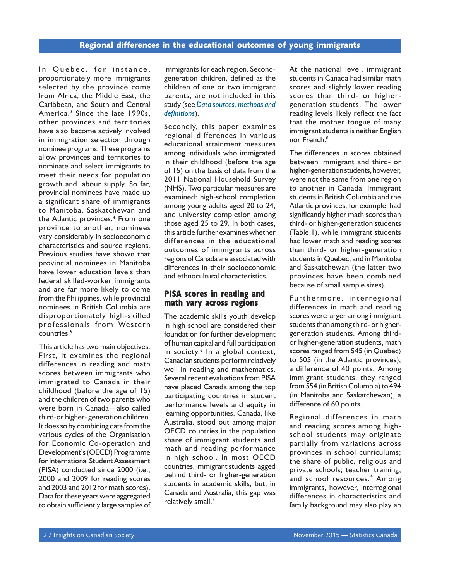In Quebec, for instance, proportionately more immigrants selected by the province come from Africa, the Middle East, the Caribbean, and South and Central America.<sup>3</sup> Since the late 1990s, other provinces and territories have also become actively involved in immigration selection through nominee programs. These programs allow provinces and territories to nominate and select immigrants to meet their needs for population growth and labour supply. So far, provincial nominees have made up a significant share of immigrants to Manitoba, Saskatchewan and the Atlantic provinces.<sup>4</sup> From one province to another, nominees vary considerably in socioeconomic characteristics and source regions. Previous studies have shown that provincial nominees in Manitoba have lower education levels than federal skilled-worker immigrants and are far more likely to come from the Philippines, while provincial nominees in British Columbia are disproportionately high-skilled professionals from Western countries.<sup>5</sup>

This article has two main objectives. First, it examines the regional differences in reading and math scores between immigrants who immigrated to Canada in their childhood (before the age of 15) and the children of two parents who were born in Canada—also called third-or higher- generation children. It does so by combining data from the various cycles of the Organisation for Economic Co-operation and Development's (OECD) Programme for International Student Assessment (PISA) conducted since 2000 (i.e., 2000 and 2009 for reading scores and 2003 and 2012 for math scores). Data for these years were aggregated to obtain sufficiently large samples of

immigrants for each region. Secondgeneration children, defined as the children of one or two immigrant parents, are not included in this study (see *[Data sources, methods and](#page-9-0)  [definitions](#page-9-0)*).

Secondly, this paper examines regional differences in various educational attainment measures among individuals who immigrated in their childhood (before the age of 15) on the basis of data from the 2011 National Household Survey (NHS). Two particular measures are examined: high-school completion among young adults aged 20 to 24, and university completion among those aged 25 to 29. In both cases, this article further examines whether differences in the educational outcomes of immigrants across regions of Canada are associated with differences in their socioeconomic and ethnocultural characteristics.

## **PISA scores in reading and math vary across regions**

The academic skills youth develop in high school are considered their foundation for further development of human capital and full participation in society.<sup>6</sup> In a global context, Canadian students perform relatively well in reading and mathematics. Several recent evaluations from PISA have placed Canada among the top participating countries in student performance levels and equity in learning opportunities. Canada, like Australia, stood out among major OECD countries in the population share of immigrant students and math and reading performance in high school. In most OECD countries, immigrant students lagged behind third- or higher-generation students in academic skills, but, in Canada and Australia, this gap was relatively small.<sup>7</sup>

At the national level, immigrant students in Canada had similar math scores and slightly lower reading scores than third- or highergeneration students. The lower reading levels likely reflect the fact that the mother tongue of many immigrant students is neither English nor French.<sup>8</sup>

The differences in scores obtained between immigrant and third- or higher-generation students, however, were not the same from one region to another in Canada. Immigrant students in British Columbia and the Atlantic provinces, for example, had significantly higher math scores than third- or higher-generation students (Table 1), while immigrant students had lower math and reading scores than third- or higher-generation students in Quebec, and in Manitoba and Saskatchewan (the latter two provinces have been combined because of small sample sizes).

Furthermore, interregional differences in math and reading scores were larger among immigrant students than among third- or highergeneration students. Among thirdor higher-generation students, math scores ranged from 545 (in Quebec) to 505 (in the Atlantic provinces), a difference of 40 points. Among immigrant students, they ranged from554 (in British Columbia) to 494 (in Manitoba and Saskatchewan), a difference of 60 points.

Regional differences in math and reading scores among highschool students may originate partially from variations across provinces in school curriculums; the share of public, religious and private schools; teacher training; and school resources.<sup>9</sup> Among immigrants, however, interregional differences in characteristics and family background may also play an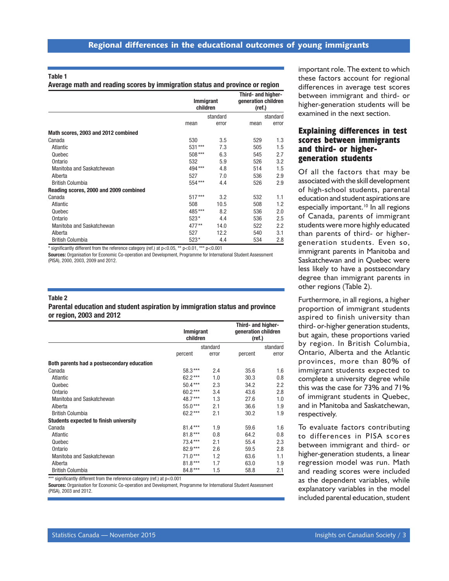#### Table 1

#### Average math and reading scores by immigration status and province or region

|                                        | <b>Immigrant</b><br>children |       | Third- and higher-<br>generation children<br>(ref.) |       |
|----------------------------------------|------------------------------|-------|-----------------------------------------------------|-------|
|                                        | standard                     |       | standard                                            |       |
|                                        | mean                         | error | mean                                                | error |
| Math scores, 2003 and 2012 combined    |                              |       |                                                     |       |
| Canada                                 | 530                          | 3.5   | 529                                                 | 1.3   |
| Atlantic                               | $531***$                     | 7.3   | 505                                                 | 1.5   |
| Quebec                                 | 508***                       | 6.3   | 545                                                 | 2.7   |
| Ontario                                | 532                          | 5.9   | 526                                                 | 3.2   |
| Manitoba and Saskatchewan              | 494***                       | 4.8   | 514                                                 | 1.5   |
| Alberta                                | 527                          | 7.0   | 536                                                 | 2.9   |
| <b>British Columbia</b>                | 554***                       | 4.4   | 526                                                 | 2.9   |
| Reading scores, 2000 and 2009 combined |                              |       |                                                     |       |
| Canada                                 | $517***$                     | 3.2   | 532                                                 | 1.1   |
| Atlantic                               | 508                          | 10.5  | 508                                                 | 1.2   |
| Quebec                                 | 485***                       | 8.2   | 536                                                 | 2.0   |
| Ontario                                | $523*$                       | 4.4   | 536                                                 | 2.5   |
| Manitoba and Saskatchewan              | 477**                        | 14.0  | 522                                                 | 2.2   |
| Alberta                                | 527                          | 12.2  | 540                                                 | 3.1   |
| <b>British Columbia</b>                | $523*$                       | 4.4   | 534                                                 | 2.8   |

\* significantly different from the reference category (ref.) at  $p<0.05$ , \*\*  $p<0.01$ , \*\*\*  $p<0.001$ 

Sources: Organisation for Economic Co-operation and Development, Programme for International Student Assessment (PISA), 2000, 2003, 2009 and 2012.

#### Table 2

Parental education and student aspiration by immigration status and province or region, 2003 and 2012

|                                               | <b>Immigrant</b><br>children |       | Third- and higher-<br>generation children<br>(ref.) |       |
|-----------------------------------------------|------------------------------|-------|-----------------------------------------------------|-------|
|                                               | standard                     |       | standard                                            |       |
|                                               | percent                      | error | percent                                             | error |
| Both parents had a postsecondary education    |                              |       |                                                     |       |
| Canada                                        | 58.3***                      | 2.4   | 35.6                                                | 1.6   |
| Atlantic                                      | $62.2***$                    | 1.0   | 30.3                                                | 0.8   |
| Quebec                                        | $50.4***$                    | 2.3   | 34.2                                                | 2.2   |
| Ontario                                       | $60.2***$                    | 3.4   | 43.6                                                | 2.8   |
| Manitoba and Saskatchewan                     | $48.7***$                    | 1.3   | 27.6                                                | 1.0   |
| Alberta                                       | $55.0***$                    | 2.1   | 36.6                                                | 1.9   |
| <b>British Columbia</b>                       | $62.2***$                    | 2.1   | 30.2                                                | 1.9   |
| <b>Students expected to finish university</b> |                              |       |                                                     |       |
| Canada                                        | $81.4***$                    | 1.9   | 59.6                                                | 1.6   |
| Atlantic                                      | $81.8***$                    | 0.8   | 64.2                                                | 0.8   |
| Quebec                                        | $73.4***$                    | 2.1   | 55.4                                                | 2.3   |
| Ontario                                       | $82.9***$                    | 2.6   | 59.5                                                | 2.8   |
| Manitoba and Saskatchewan                     | $71.0***$                    | 1.2   | 63.6                                                | 1.1   |
| Alberta                                       | $81.8***$                    | 1.7   | 63.0                                                | 1.9   |
| <b>British Columbia</b>                       | 84.8***                      | 1.5   | 58.8                                                | 2.1   |

\*\*\* significantly different from the reference category (ref.) at  $p<0.001$ 

Sources: Organisation for Economic Co-operation and Development, Programme for International Student Assessment (PISA), 2003 and 2012.

important role. The extent to which these factors account for regional differences in average test scores between immigrant and third- or higher-generation students will be examined in the next section.

### **Explaining differences in test scores between immigrants and third- or highergeneration students**

Of all the factors that may be associated with the skill development of high-school students, parental education and student aspirations are especially important.<sup>10</sup> In all regions of Canada, parents of immigrant students were more highly educated than parents of third- or highergeneration students. Even so, immigrant parents in Manitoba and Saskatchewan and in Quebec were less likely to have a postsecondary degree than immigrant parents in other regions (Table 2).

Furthermore, in all regions, a higher proportion of immigrant students aspired to finish university than third- or-higher generation students, but again, these proportions varied by region. In British Columbia, Ontario, Alberta and the Atlantic provinces, more than 80% of immigrant students expected to complete a university degree while this was the case for 73% and 71% of immigrant students in Quebec, and in Manitoba and Saskatchewan, respectively.

To evaluate factors contributing to differences in PISA scores between immigrant and third- or higher-generation students, a linear regression model was run. Math and reading scores were included as the dependent variables, while explanatory variables in the model included parental education, student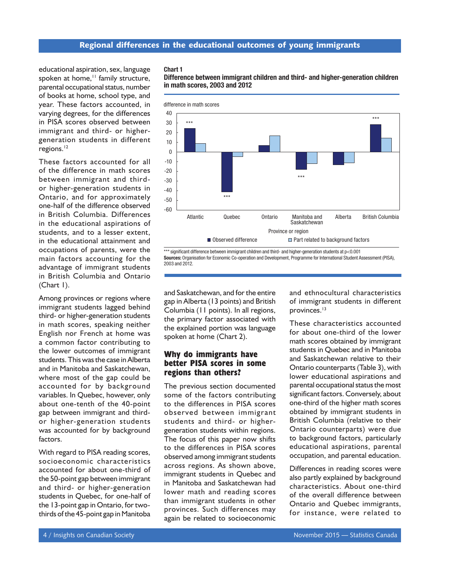educational aspiration, sex, language spoken at home,<sup>11</sup> family structure, parental occupational status, number of books at home, school type, and year. These factors accounted, in varying degrees, for the differences in PISA scores observed between immigrant and third- or highergeneration students in different regions.<sup>12</sup>

These factors accounted for all of the difference in math scores between immigrant and thirdor higher-generation students in Ontario, and for approximately one-half of the difference observed in British Columbia. Differences in the educational aspirations of students, and to a lesser extent, in the educational attainment and occupations of parents, were the main factors accounting for the advantage of immigrant students in British Columbia and Ontario  $(Chart 1)$ .

Among provinces or regions where immigrant students lagged behind third- or higher-generation students in math scores, speaking neither English nor French at home was a common factor contributing to the lower outcomes of immigrant students. This was the case in Alberta and in Manitoba and Saskatchewan, where most of the gap could be accounted for by background variables. In Quebec, however, only about one-tenth of the 40-point gap between immigrant and thirdor higher-generation students was accounted for by background factors.

With regard to PISA reading scores, socioeconomic characteristics accounted for about one-third of the 50-point gap between immigrant and third- or higher-generation students in Quebec, for one-half of the 13-point gap in Ontario, for twothirds of the 45-point gap in Manitoba Chart 1

Difference between immigrant children and third- and higher-generation children in math scores, 2003 and 2012



\*\*\* significant difference between immigrant children and third- and higher-generation students at p<0.001 Sources: Organisation for Economic Co-operation and Development, Programme for International Student Assessment (PISA), 2003 and 2012.

and Saskatchewan, and for the entire gap in Alberta (13 points) and British Columbia (11 points). In all regions, the primary factor associated with the explained portion was language spoken at home (Chart 2).

## **Why do immigrants have better PISA scores in some regions than others?**

The previous section documented some of the factors contributing to the differences in PISA scores observed between immigrant students and third- or highergeneration students within regions. The focus of this paper now shifts to the differences in PISA scores observed among immigrant students across regions. As shown above, immigrant students in Quebec and in Manitoba and Saskatchewan had lower math and reading scores than immigrant students in other provinces. Such differences may again be related to socioeconomic and ethnocultural characteristics of immigrant students in different provinces.<sup>13</sup>

These characteristics accounted for about one-third of the lower math scores obtained by immigrant students in Quebec and in Manitoba and Saskatchewan relative to their Ontario counterparts (Table 3), with lower educational aspirations and parental occupational status the most significant factors. Conversely, about one-third of the higher math scores obtained by immigrant students in British Columbia (relative to their Ontario counterparts) were due to background factors, particularly educational aspirations, parental occupation, and parental education.

Differences in reading scores were also partly explained by background characteristics. About one-third of the overall difference between Ontario and Quebec immigrants, for instance, were related to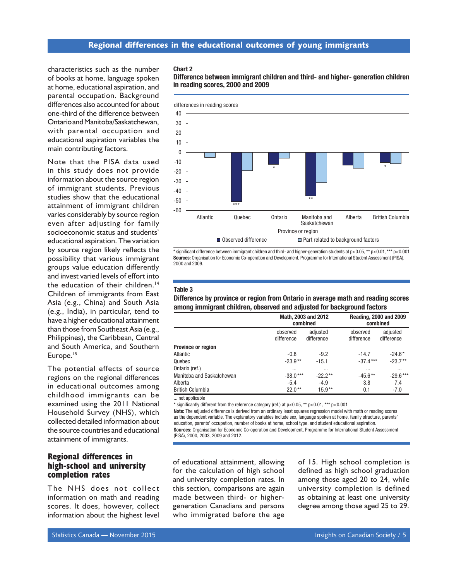characteristics such as the number of books at home, language spoken at home, educational aspiration, and parental occupation. Background differences also accounted for about one-third of the difference between Ontario and Manitoba/Saskatchewan, with parental occupation and educational aspiration variables the main contributing factors.

Note that the PISA data used in this study does not provide information about the source region of immigrant students. Previous studies show that the educational attainment of immigrant children varies considerably by source region even after adjusting for family socioeconomic status and students' educational aspiration. The variation by source region likely reflects the possibility that various immigrant groups value education differently and invest varied levels of effort into the education of their children.<sup>14</sup> Children of immigrants from East Asia (e.g., China) and South Asia (e.g., India), in particular, tend to have a higher educational attainment than those from Southeast Asia (e.g., Philippines), the Caribbean, Central and South America, and Southern Europe.<sup>15</sup>

The potential effects of source regions on the regional differences in educational outcomes among childhood immigrants can be examined using the 2011 National Household Survey (NHS), which collected detailed information about the source countries and educational attainment of immigrants.

## **Regional differences in high-school and university completion rates**

The NHS does not collect information on math and reading scores. It does, however, collect information about the highest level

#### Chart 2

Difference between immigrant children and third- and higher- generation children in reading scores, 2000 and 2009



\* significant difference between immigrant children and third- and higher-generation students at p<0.05, \*\* p<0.01, \*\*\* p<0.001 Sources: Organisation for Economic Co-operation and Development, Programme for International Student Assessment (PISA), 2000 and 2009.

#### Table 3

Difference by province or region from Ontario in average math and reading scores among immigrant children, observed and adjusted for background factors

|                           |                        | Math, 2003 and 2012<br>combined | <b>Reading, 2000 and 2009</b><br>combined |                        |  |
|---------------------------|------------------------|---------------------------------|-------------------------------------------|------------------------|--|
|                           | observed<br>difference | adjusted<br>difference          | observed<br>difference                    | adjusted<br>difference |  |
| <b>Province or region</b> |                        |                                 |                                           |                        |  |
| Atlantic                  | $-0.8$                 | $-9.2$                          | $-14.7$                                   | $-24.6*$               |  |
| Quebec                    | $-23.9**$              | $-15.1$                         | $-37.4***$                                | $-23.7**$              |  |
| Ontario (ref.)            | $\cdots$               | $\cdots$                        | $\cdots$                                  | $\cdots$               |  |
| Manitoba and Saskatchewan | $-38.0***$             | $-22.2**$                       | $-45.6**$                                 | $-29.6***$             |  |
| Alberta                   | $-5.4$                 | $-4.9$                          | 3.8                                       | 7.4                    |  |
| <b>British Columbia</b>   | $22.0**$               | $15.9**$                        | 0.1                                       | $-7.0$                 |  |

... not applicable

\* significantly different from the reference category (ref.) at  $p<0.05$ , \*\*  $p<0.01$ , \*\*\*  $p<0.001$ 

Note: The adjusted difference is derived from an ordinary least squares regression model with math or reading scores as the dependent variable. The explanatory variables include sex, language spoken at home, family structure, parents' education, parents' occupation, number of books at home, school type, and student educational aspiration. Sources: Organisation for Economic Co-operation and Development, Programme for International Student Assessment (PISA), 2000, 2003, 2009 and 2012.

of educational attainment, allowing for the calculation of high school and university completion rates. In this section, comparisons are again made between third- or highergeneration Canadians and persons who immigrated before the age

of 15. High school completion is defined as high school graduation among those aged 20 to 24, while university completion is defined as obtaining at least one university degree among those aged 25 to 29.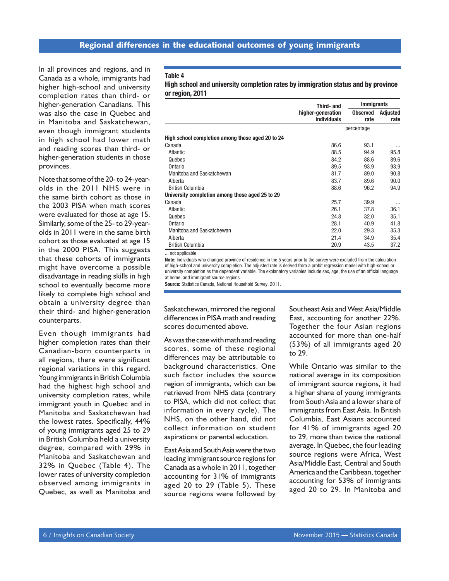In all provinces and regions, and in Canada as a whole, immigrants had higher high-school and university completion rates than third- or higher-generation Canadians. This was also the case in Quebec and in Manitoba and Saskatchewan, even though immigrant students in high school had lower math and reading scores than third- or higher-generation students in those provinces.

Note that some of the 20-to 24-yearolds in the 2011 NHS were in the same birth cohort as those in the 2003 PISA when math scores were evaluated for those at age 15. Similarly, some of the 25- to 29-yearolds in 2011 were in the same birth cohort as those evaluated at age 15 in the 2000 PISA. This suggests that these cohorts of immigrants might have overcome a possible disadvantage in reading skills in high school to eventually become more likely to complete high school and obtain a university degree than their third- and higher-generation counterparts.

Even though immigrants had higher completion rates than their Canadian-born counterparts in all regions, there were significant regional variations in this regard. Young immigrants in British Columbia had the highest high school and university completion rates, while immigrant youth in Quebec and in Manitoba and Saskatchewan had the lowest rates. Specifically, 44% of young immigrants aged 25 to 29 in British Columbia held a university degree, compared with 29% in Manitoba and Saskatchewan and 32% in Quebec (Table 4). The lower rates of university completion observed among immigrants in Quebec, as well as Manitoba and

Table 4

High school and university completion rates by immigration status and by province or region, 2011

|                                                  | Third- and                              | <b>Immigrants</b>       |                  |  |
|--------------------------------------------------|-----------------------------------------|-------------------------|------------------|--|
|                                                  | higher-generation<br><b>individuals</b> | <b>Observed</b><br>rate | Adjusted<br>rate |  |
|                                                  |                                         | percentage              |                  |  |
| High school completion among those aged 20 to 24 |                                         |                         |                  |  |
| Canada                                           | 86.6                                    | 93.1                    | $\cdots$         |  |
| Atlantic                                         | 88.5                                    | 94.9                    | 95.8             |  |
| Quebec                                           | 84.2                                    | 88.6                    | 89.6             |  |
| Ontario                                          | 89.5                                    | 93.9                    | 93.9             |  |
| Manitoba and Saskatchewan                        | 81.7                                    | 89.0                    | 90.8             |  |
| Alberta                                          | 83.7                                    | 89.6                    | 90.0             |  |
| <b>British Columbia</b>                          | 88.6                                    | 96.2                    | 94.9             |  |
| University completion among those aged 25 to 29  |                                         |                         |                  |  |
| Canada                                           | 25.7                                    | 39.9                    | $\cdots$         |  |
| Atlantic                                         | 26.1                                    | 37.8                    | 36.1             |  |
| Quebec                                           | 24.8                                    | 32.0                    | 35.1             |  |
| Ontario                                          | 28.1                                    | 40.9                    | 41.8             |  |
| Manitoba and Saskatchewan                        | 22.0                                    | 29.3                    | 35.3             |  |
| Alberta                                          | 21.4                                    | 34.9                    | 35.4             |  |
| <b>British Columbia</b>                          | 20.9                                    | 43.5                    | 37.2             |  |

... not applicable

Note: Individuals who changed province of residence in the 5 years prior to the survey were excluded from the calculation of high-school and university completion. The adjusted rate is derived from a probit regression model with high-school or university completion as the dependent variable. The explanatory variables include sex, age, the use of an official language at home, and immigrant source regions.

Source: Statistics Canada, National Household Survey, 2011.

Saskatchewan, mirrored the regional differences in PISA math and reading scores documented above.

As was the case with math and reading scores, some of these regional differences may be attributable to background characteristics. One such factor includes the source region of immigrants, which can be retrieved from NHS data (contrary to PISA, which did not collect that information in every cycle). The NHS, on the other hand, did not collect information on student aspirations or parental education.

East Asia and South Asia were the two leading immigrant source regions for Canada as a whole in 2011, together accounting for 31% of immigrants aged 20 to 29 (Table 5). These source regions were followed by Southeast Asia and West Asia/Middle East, accounting for another 22%. Together the four Asian regions accounted for more than one-half (53%) of all immigrants aged 20 to 29.

While Ontario was similar to the national average in its composition of immigrant source regions, it had a higher share of young immigrants from South Asia and a lower share of immigrants from East Asia. In British Columbia, East Asians accounted for 41% of immigrants aged 20 to 29, more than twice the national average. In Quebec, the four leading source regions were Africa, West Asia/Middle East, Central and South America and the Caribbean, together accounting for 53% of immigrants aged 20 to 29. In Manitoba and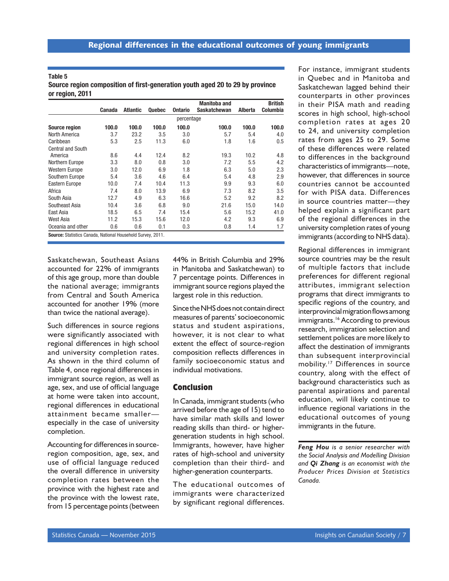#### Table 5

Source region composition of first-generation youth aged 20 to 29 by province or region, 2011

|                                                             |        |                 |               |                | <b>Manitoba and</b> |         | <b>British</b> |
|-------------------------------------------------------------|--------|-----------------|---------------|----------------|---------------------|---------|----------------|
|                                                             | Canada | <b>Atlantic</b> | <b>Quebec</b> | <b>Ontario</b> | <b>Saskatchewan</b> | Alberta | Columbia       |
|                                                             |        | percentage      |               |                |                     |         |                |
| <b>Source region</b>                                        | 100.0  | 100.0           | 100.0         | 100.0          | 100.0               | 100.0   | 100.0          |
| North America                                               | 3.7    | 23.2            | 3.5           | 3.0            | 5.7                 | 5.4     | 4.0            |
| Caribbean                                                   | 5.3    | 2.5             | 11.3          | 6.0            | 1.8                 | 1.6     | 0.5            |
| <b>Central and South</b>                                    |        |                 |               |                |                     |         |                |
| America                                                     | 8.6    | 4.4             | 12.4          | 8.2            | 19.3                | 10.2    | 4.8            |
| Northern Europe                                             | 3.3    | 8.0             | 0.8           | 3.0            | 7.2                 | 5.5     | 4.2            |
| <b>Western Europe</b>                                       | 3.0    | 12.0            | 6.9           | 1.8            | 6.3                 | 5.0     | 2.3            |
| Southern Europe                                             | 5.4    | 3.6             | 4.6           | 6.4            | 5.4                 | 4.8     | 2.9            |
| Eastern Europe                                              | 10.0   | 7.4             | 10.4          | 11.3           | 9.9                 | 9.3     | 6.0            |
| Africa                                                      | 7.4    | 8.0             | 13.9          | 6.9            | 7.3                 | 8.2     | 3.5            |
| South Asia                                                  | 12.7   | 4.9             | 6.3           | 16.6           | 5.2                 | 9.2     | 8.2            |
| Southeast Asia                                              | 10.4   | 3.6             | 6.8           | 9.0            | 21.6                | 15.0    | 14.0           |
| East Asia                                                   | 18.5   | 6.5             | 7.4           | 15.4           | 5.6                 | 15.2    | 41.0           |
| West Asia                                                   | 11.2   | 15.3            | 15.6          | 12.0           | 4.2                 | 9.3     | 6.9            |
| Oceania and other                                           | 0.6    | 0.6             | 0.1           | 0.3            | 0.8                 | 1.4     | 1.7            |
| Source: Statistics Canada, National Household Survey, 2011. |        |                 |               |                |                     |         |                |

Saskatchewan, Southeast Asians accounted for 22% of immigrants of this age group, more than double the national average; immigrants from Central and South America accounted for another 19% (more than twice the national average).

Such differences in source regions were significantly associated with regional differences in high school and university completion rates. As shown in the third column of Table 4, once regional differences in immigrant source region, as well as age, sex, and use of official language at home were taken into account, regional differences in educational attainment became smaller especially in the case of university completion.

Accounting for differences in sourceregion composition, age, sex, and use of official language reduced the overall difference in university completion rates between the province with the highest rate and the province with the lowest rate, from 15 percentage points (between

44% in British Columbia and 29% in Manitoba and Saskatchewan) to 7 percentage points. Differences in immigrant source regions played the largest role in this reduction.

Since the NHS does not contain direct measures of parents' socioeconomic status and student aspirations, however, it is not clear to what extent the effect of source-region composition reflects differences in family socioeconomic status and individual motivations.

#### **Conclusion**

In Canada, immigrant students (who arrived before the age of 15) tend to have similar math skills and lower reading skills than third- or highergeneration students in high school. Immigrants, however, have higher rates of high-school and university completion than their third- and higher-generation counterparts.

The educational outcomes of immigrants were characterized by significant regional differences.

For instance, immigrant students in Quebec and in Manitoba and Saskatchewan lagged behind their counterparts in other provinces in their PISA math and reading scores in high school, high-school completion rates at ages 20 to 24, and university completion rates from ages 25 to 29. Some of these differences were related to differences in the background characteristics of immigrants—note, however, that differences in source countries cannot be accounted for with PISA data. Differences in source countries matter—they helped explain a significant part of the regional differences in the university completion rates of young immigrants (according to NHS data).

Regional differences in immigrant source countries may be the result of multiple factors that include preferences for different regional attributes, immigrant selection programs that direct immigrants to specific regions of the country, and interprovincial migration flows among immigrants.<sup>16</sup> According to previous research, immigration selection and settlement polices are more likely to affect the destination of immigrants than subsequent interprovincial mobility.17 Differences in source country, along with the effect of background characteristics such as parental aspirations and parental education, will likely continue to influence regional variations in the educational outcomes of young immigrants in the future.

*Feng Hou is a senior researcher with the Social Analysis and Modelling Division and Qi Zhang is an economist with the Producer Prices Division at Statistics Canada.*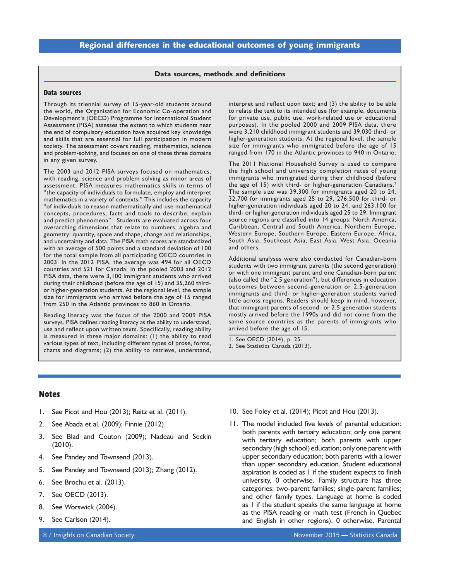#### **Data sources, methods and definitions**

#### <span id="page-9-0"></span>**Data sources**

Through its triennial survey of 15-year-old students around the world, the Organisation for Economic Co-operation and Development's (OECD) Programme for International Student Assessment (PISA) assesses the extent to which students near the end of compulsory education have acquired key knowledge and skills that are essential for full participation in modern society. The assessment covers reading, mathematics, science and problem-solving, and focuses on one of these three domains in any given survey.

The 2003 and 2012 PISA surveys focused on mathematics, with reading, science and problem-solving as minor areas of assessment. PISA measures mathematics skills in terms of "the capacity of individuals to formulate, employ and interpret mathematics in a variety of contexts." This includes the capacity "of individuals to reason mathematically and use mathematical concepts, procedures, facts and tools to describe, explain and predict phenomena".<sup>1</sup> Students are evaluated across four overarching dimensions that relate to numbers, algebra and geometry: quantity, space and shape, change and relationships, and uncertainty and data. The PISA math scores are standardized with an average of 500 points and a standard deviation of 100 for the total sample from all participating OECD countries in 2003. In the 2012 PISA, the average was 494 for all OECD countries and 521 for Canada. In the pooled 2003 and 2012 PISA data, there were 3,100 immigrant students who arrived during their childhood (before the age of 15) and 35,260 thirdor higher-generation students. At the regional level, the sample size for immigrants who arrived before the age of 15 ranged from 250 in the Atlantic provinces to 860 in Ontario.

Reading literacy was the focus of the 2000 and 2009 PISA surveys. PISA defines reading literacy as the ability to understand, use and reflect upon written texts. Specifically, reading ability is measured in three major domains: (1) the ability to read various types of text, including different types of prose, forms, charts and diagrams; (2) the ability to retrieve, understand, interpret and reflect upon text; and (3) the ability to be able to relate the text to its intended use (for example, documents for private use, public use, work-related use or educational purposes). In the pooled 2000 and 2009 PISA data, there were 3,210 childhood immigrant students and 39,030 third- or higher-generation students. At the regional level, the sample size for immigrants who immigrated before the age of 15 ranged from 170 in the Atlantic provinces to 940 in Ontario.

The 2011 National Household Survey is used to compare the high school and university completion rates of young immigrants who immigrated during their childhood (before the age of  $15$ ) with third- or higher-generation Canadians.<sup>2</sup> The sample size was 39,300 for immigrants aged 20 to 24, 32,700 for immigrants aged 25 to 29, 276,500 for third- or higher-generation individuals aged 20 to 24, and 263,100 for third- or higher-generation individuals aged 25 to 29. Immigrant source regions are classified into 14 groups: North America, Caribbean, Central and South America, Northern Europe, Western Europe, Southern Europe, Eastern Europe, Africa, South Asia, Southeast Asia, East Asia, West Asia, Oceania and others.

Additional analyses were also conducted for Canadian-born students with two immigrant parents (the second generation) or with one immigrant parent and one Canadian-born parent (also called the "2.5 generation"), but differences in education outcomes between second-generation or 2.5-generation immigrants and third- or higher-generation students varied little across regions. Readers should keep in mind, however, that immigrant parents of second- or 2.5-generation students mostly arrived before the 1990s and did not come from the same source countries as the parents of immigrants who arrived before the age of 15.

- 1. See OECD (2014), p. 25.
- 2. See Statistics Canada (2013).

#### **Notes**

- 1. See Picot and Hou (2013); Reitz et al. (2011).
- 2. See Abada et al. (2009); Finnie (2012).
- 3. See Blad and Couton (2009); Nadeau and Seckin (2010).
- 4. See Pandey and Townsend (2013).
- 5. See Pandey and Townsend (2013); Zhang (2012).
- 6. See Brochu et al. (2013).
- 7. See OECD (2013).
- 8. See Worswick (2004).
- 9. See Carlson (2014).

- 10. See Foley et al. (2014); Picot and Hou (2013).
- 11. The model included five levels of parental education: both parents with tertiary education; only one parent with tertiary education; both parents with upper secondary (high school) education; only one parent with upper secondary education; both parents with a lower than upper secondary education. Student educational aspiration is coded as 1 if the student expects to finish university, 0 otherwise. Family structure has three categories: two-parent families; single-parent families; and other family types. Language at home is coded as 1 if the student speaks the same language at home as the PISA reading or math test (French in Quebec and English in other regions), 0 otherwise. Parental